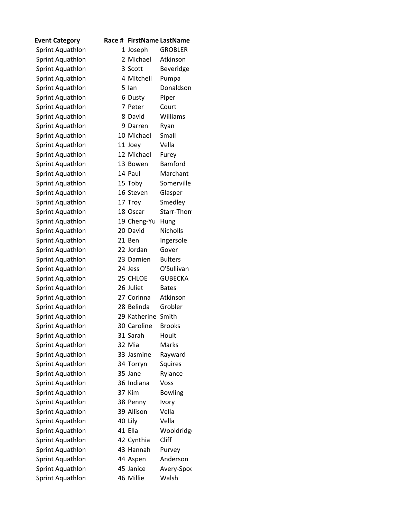| <b>Event Category</b> | Race # |              | <b>FirstName LastName</b> |
|-----------------------|--------|--------------|---------------------------|
| Sprint Aquathlon      |        | 1 Joseph     | <b>GROBLER</b>            |
| Sprint Aquathlon      |        | 2 Michael    | Atkinson                  |
| Sprint Aquathlon      |        | 3 Scott      | Beveridge                 |
| Sprint Aquathlon      |        | 4 Mitchell   | Pumpa                     |
| Sprint Aquathlon      |        | 5 lan        | Donaldson                 |
| Sprint Aquathlon      |        | 6 Dusty      | Piper                     |
| Sprint Aquathlon      |        | 7 Peter      | Court                     |
| Sprint Aquathlon      |        | 8 David      | Williams                  |
| Sprint Aquathlon      |        | 9 Darren     | Ryan                      |
| Sprint Aquathlon      |        | 10 Michael   | Small                     |
| Sprint Aquathlon      |        | 11 Joey      | Vella                     |
| Sprint Aquathlon      |        | 12 Michael   | Furey                     |
| Sprint Aquathlon      |        | 13 Bowen     | <b>Bamford</b>            |
| Sprint Aquathlon      |        | 14 Paul      | Marchant                  |
| Sprint Aquathlon      |        | 15 Toby      | Somerville                |
| Sprint Aquathlon      |        | 16 Steven    | Glasper                   |
| Sprint Aquathlon      |        | 17 Troy      | Smedley                   |
| Sprint Aquathlon      |        | 18 Oscar     | Starr-Thon                |
| Sprint Aquathlon      |        | 19 Cheng-Yu  | Hung                      |
| Sprint Aquathlon      |        | 20 David     | <b>Nicholls</b>           |
| Sprint Aquathlon      |        | 21 Ben       | Ingersole                 |
| Sprint Aquathlon      |        | 22 Jordan    | Gover                     |
| Sprint Aquathlon      |        | 23 Damien    | <b>Bulters</b>            |
| Sprint Aquathlon      |        | 24 Jess      | O'Sullivan                |
| Sprint Aquathlon      |        | 25 CHLOE     | <b>GUBECKA</b>            |
| Sprint Aquathlon      |        | 26 Juliet    | <b>Bates</b>              |
| Sprint Aquathlon      |        | 27 Corinna   | Atkinson                  |
| Sprint Aquathlon      |        | 28 Belinda   | Grobler                   |
| Sprint Aquathlon      |        | 29 Katherine | Smith                     |
| Sprint Aquathlon      |        | 30 Caroline  | <b>Brooks</b>             |
| Sprint Aquathlon      |        | 31 Sarah     | Hoult                     |
| Sprint Aquathlon      |        | 32 Mia       | Marks                     |
| Sprint Aquathlon      |        | 33 Jasmine   | Rayward                   |
| Sprint Aquathlon      |        | 34 Torryn    | Squires                   |
| Sprint Aquathlon      |        | 35 Jane      | Rylance                   |
| Sprint Aquathlon      |        | 36 Indiana   | Voss                      |
| Sprint Aquathlon      |        | 37 Kim       | <b>Bowling</b>            |
| Sprint Aquathlon      |        | 38 Penny     | Ivory                     |
| Sprint Aquathlon      |        | 39 Allison   | Vella                     |
| Sprint Aquathlon      |        | 40 Lily      | Vella                     |
| Sprint Aquathlon      |        | 41 Ella      | Wooldridg                 |
| Sprint Aquathlon      |        | 42 Cynthia   | Cliff                     |
| Sprint Aquathlon      |        | 43 Hannah    | Purvey                    |
| Sprint Aquathlon      |        | 44 Aspen     | Anderson                  |
| Sprint Aquathlon      |        | 45 Janice    | Avery-Spor                |
| Sprint Aquathlon      |        | 46 Millie    | Walsh                     |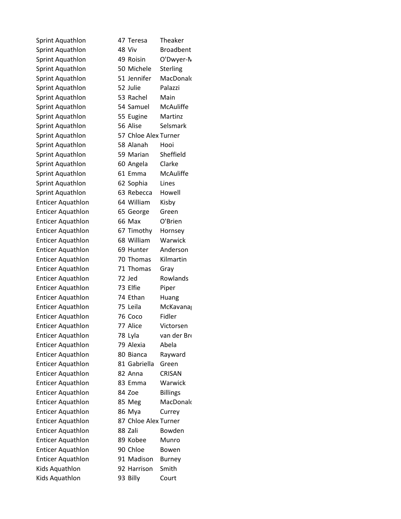| Sprint Aquathlon         | 47 Teresa            | <b>Theake</b>   |
|--------------------------|----------------------|-----------------|
| Sprint Aquathlon         | 48 Viv               | <b>Broadb</b>   |
| Sprint Aquathlon         | 49 Roisin            | O'Dwy           |
| Sprint Aquathlon         | 50 Michele           | Sterling        |
| Sprint Aquathlon         | 51 Jennifer          | MacDo           |
| Sprint Aquathlon         | 52 Julie             | Palazzi         |
| Sprint Aquathlon         | 53 Rachel            | Main            |
| Sprint Aquathlon         | 54 Samuel            | McAuli          |
| Sprint Aquathlon         | 55 Eugine            | Martin          |
| Sprint Aquathlon         | 56 Alise             | Selsma          |
| Sprint Aquathlon         | 57 Chloe Alex Turner |                 |
| Sprint Aquathlon         | 58 Alanah            | Hooi            |
| Sprint Aquathlon         | 59 Marian            | Sheffie         |
| Sprint Aquathlon         | 60 Angela            | Clarke          |
| Sprint Aquathlon         | 61 Emma              | McAuli          |
| Sprint Aquathlon         | 62 Sophia            | Lines           |
| Sprint Aquathlon         | 63 Rebecca           | Howell          |
| <b>Enticer Aquathlon</b> | 64 William           | Kisby           |
| <b>Enticer Aquathlon</b> | 65 George            | Green           |
| <b>Enticer Aquathlon</b> | 66 Max               | O'Brier         |
| <b>Enticer Aquathlon</b> | 67 Timothy           | Hornse          |
| <b>Enticer Aquathlon</b> | 68 William           | Warwi           |
| <b>Enticer Aquathlon</b> | 69 Hunter            | Anders          |
| <b>Enticer Aquathlon</b> | 70 Thomas            | Kilmart         |
| <b>Enticer Aquathlon</b> | 71 Thomas            | Gray            |
| <b>Enticer Aquathlon</b> | 72 Jed               | Rowlar          |
| <b>Enticer Aquathlon</b> | 73 Elfie             | Piper           |
| <b>Enticer Aquathlon</b> | 74 Ethan             | Huang           |
| <b>Enticer Aquathlon</b> | 75 Leila             | McKav           |
| <b>Enticer Aquathlon</b> | 76 Coco              | Fidler          |
| <b>Enticer Aquathlon</b> | 77 Alice             | Victors         |
| <b>Enticer Aquathlon</b> | 78 Lyla              | van dei         |
| <b>Enticer Aquathlon</b> | 79 Alexia            | Abela           |
| <b>Enticer Aquathlon</b> | 80 Bianca            | Raywar          |
| <b>Enticer Aquathlon</b> | 81 Gabriella         | Green           |
| <b>Enticer Aquathlon</b> | 82 Anna              | CRISAN          |
| <b>Enticer Aquathlon</b> | 83 Emma              | Warwi           |
| <b>Enticer Aquathlon</b> | 84 Zoe               | <b>Billings</b> |
| <b>Enticer Aquathlon</b> | 85 Meg               | MacDo           |
| <b>Enticer Aquathlon</b> | 86 Mya               | Currey          |
| <b>Enticer Aquathlon</b> | 87 Chloe Alex Turner |                 |
| <b>Enticer Aquathlon</b> | 88 Zali              | Bowde           |
| <b>Enticer Aquathlon</b> | 89 Kobee             | Munro           |
| <b>Enticer Aquathlon</b> | 90 Chloe             | Bowen           |
| <b>Enticer Aquathlon</b> | 91 Madison           | <b>Burney</b>   |
| Kids Aquathlon           | 92 Harrison          | Smith           |
| Kids Aquathlon           | 93 Billy             | Court           |

Theaker **Broadbent** O'Dwyer-N Sterling MacDonald Palazzi Main **McAuliffe** Martinz Selsmark

Sheffield Clarke **McAuliffe** 

Howell Kisby Green O'Brien Hornsey Warwick Anderson Kilmartin Gray **Rowlands** Piper Huang McKavanag

Victorsen van der Bre Abela Rayward

CRISAN Warwick **Billings** MacDonald Currey

Bowden Munro Bowen **Burney** Smith Court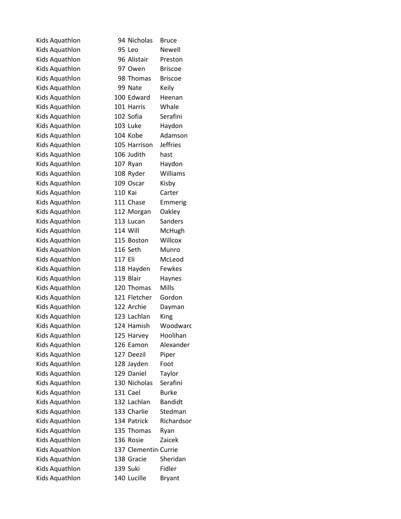| Kids Aquathlon |         | 94 Nicholas          | <b>Bruce</b>    |
|----------------|---------|----------------------|-----------------|
| Kids Aquathlon |         | 95 Leo               | Newell          |
| Kids Aquathlon |         | 96 Alistair          | Preston         |
| Kids Aquathlon |         | 97 Owen              | <b>Briscoe</b>  |
| Kids Aquathlon |         | 98 Thomas            | <b>Briscoe</b>  |
| Kids Aquathlon |         | 99 Nate              | Keily           |
| Kids Aquathlon |         | 100 Edward           | Heenan          |
| Kids Aquathlon |         | 101 Harris           | Whale           |
| Kids Aquathlon |         | 102 Sofia            | Serafini        |
| Kids Aquathlon |         | 103 Luke             | Haydon          |
| Kids Aquathlon |         | 104 Kobe             | Adamson         |
| Kids Aquathlon |         | 105 Harrison         | <b>Jeffries</b> |
| Kids Aquathlon |         | 106 Judith           | hast            |
| Kids Aquathlon |         | 107 Ryan             | Haydon          |
| Kids Aquathlon |         | 108 Ryder            | Williams        |
| Kids Aquathlon |         | 109 Oscar            | Kisby           |
| Kids Aquathlon | 110 Kai |                      | Carter          |
| Kids Aquathlon |         | 111 Chase            | Emmerig         |
| Kids Aquathlon |         | 112 Morgan           | Oakley          |
| Kids Aquathlon |         | 113 Lucan            | <b>Sanders</b>  |
| Kids Aquathlon |         | 114 Will             | McHugh          |
| Kids Aquathlon |         | 115 Boston           | Willcox         |
| Kids Aquathlon |         | 116 Seth             | Munro           |
| Kids Aquathlon | 117 Eli |                      | McLeod          |
| Kids Aquathlon |         | 118 Hayden           | Fewkes          |
| Kids Aquathlon |         | 119 Blair            | Haynes          |
| Kids Aquathlon |         | 120 Thomas           | Mills           |
| Kids Aquathlon |         | 121 Fletcher         | Gordon          |
| Kids Aquathlon |         | 122 Archie           | Dayman          |
| Kids Aquathlon |         | 123 Lachlan          | King            |
| Kids Aquathlon |         | 124 Hamish           | Woodwarc        |
| Kids Aquathlon |         | 125 Harvey           | Hoolihan        |
| Kids Aquathlon |         | 126 Eamon            | Alexander       |
| Kids Aquathlon |         | 127 Deezil           | Piper           |
| Kids Aquathlon |         | 128 Jayden           | Foot            |
| Kids Aquathlon |         | 129 Daniel           | Taylor          |
| Kids Aquathlon |         | 130 Nicholas         | Serafini        |
| Kids Aquathlon |         | 131 Cael             | <b>Burke</b>    |
| Kids Aquathlon |         | 132 Lachlan          | <b>Bandidt</b>  |
| Kids Aquathlon |         | 133 Charlie          | Stedman         |
| Kids Aquathlon |         | 134 Patrick          | Richardsor      |
| Kids Aquathlon |         | 135 Thomas           | Ryan            |
| Kids Aquathlon |         | 136 Rosie            | Zaicek          |
| Kids Aquathlon |         | 137 Clementin Currie |                 |
| Kids Aquathlon |         | 138 Gracie           | Sheridan        |
| Kids Aquathlon |         | 139 Suki             | Fidler          |
| Kids Aquathlon |         | 140 Lucille          | <b>Bryant</b>   |